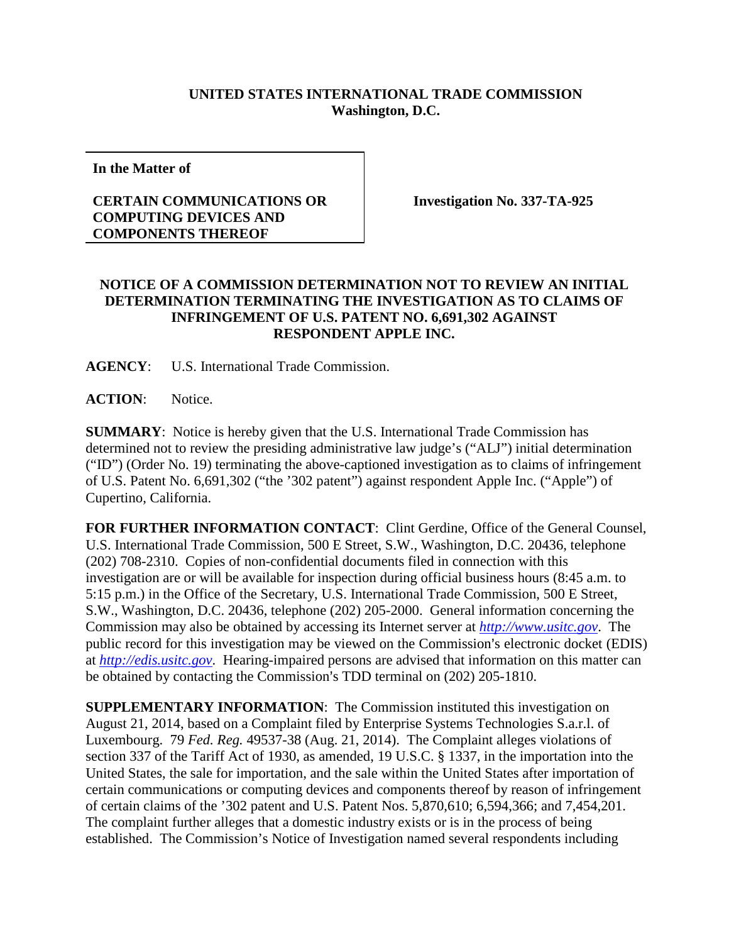## **UNITED STATES INTERNATIONAL TRADE COMMISSION Washington, D.C.**

**In the Matter of**

## **CERTAIN COMMUNICATIONS OR COMPUTING DEVICES AND COMPONENTS THEREOF**

**Investigation No. 337-TA-925**

## **NOTICE OF A COMMISSION DETERMINATION NOT TO REVIEW AN INITIAL DETERMINATION TERMINATING THE INVESTIGATION AS TO CLAIMS OF INFRINGEMENT OF U.S. PATENT NO. 6,691,302 AGAINST RESPONDENT APPLE INC.**

**AGENCY**: U.S. International Trade Commission.

**ACTION**: Notice.

**SUMMARY**: Notice is hereby given that the U.S. International Trade Commission has determined not to review the presiding administrative law judge's ("ALJ") initial determination ("ID") (Order No. 19) terminating the above-captioned investigation as to claims of infringement of U.S. Patent No. 6,691,302 ("the '302 patent") against respondent Apple Inc. ("Apple") of Cupertino, California.

**FOR FURTHER INFORMATION CONTACT**: Clint Gerdine, Office of the General Counsel, U.S. International Trade Commission, 500 E Street, S.W., Washington, D.C. 20436, telephone (202) 708-2310. Copies of non-confidential documents filed in connection with this investigation are or will be available for inspection during official business hours (8:45 a.m. to 5:15 p.m.) in the Office of the Secretary, U.S. International Trade Commission, 500 E Street, S.W., Washington, D.C. 20436, telephone (202) 205-2000. General information concerning the Commission may also be obtained by accessing its Internet server at *[http://www.usitc.gov](http://www.usitc.gov/)*. The public record for this investigation may be viewed on the Commission's electronic docket (EDIS) at *[http://edis.usitc.gov](http://edis.usitc.gov/)*. Hearing-impaired persons are advised that information on this matter can be obtained by contacting the Commission's TDD terminal on (202) 205-1810.

**SUPPLEMENTARY INFORMATION**: The Commission instituted this investigation on August 21, 2014, based on a Complaint filed by Enterprise Systems Technologies S.a.r.l. of Luxembourg. 79 *Fed. Reg.* 49537-38 (Aug. 21, 2014). The Complaint alleges violations of section 337 of the Tariff Act of 1930, as amended, 19 U.S.C. § 1337, in the importation into the United States, the sale for importation, and the sale within the United States after importation of certain communications or computing devices and components thereof by reason of infringement of certain claims of the '302 patent and U.S. Patent Nos. 5,870,610; 6,594,366; and 7,454,201. The complaint further alleges that a domestic industry exists or is in the process of being established. The Commission's Notice of Investigation named several respondents including